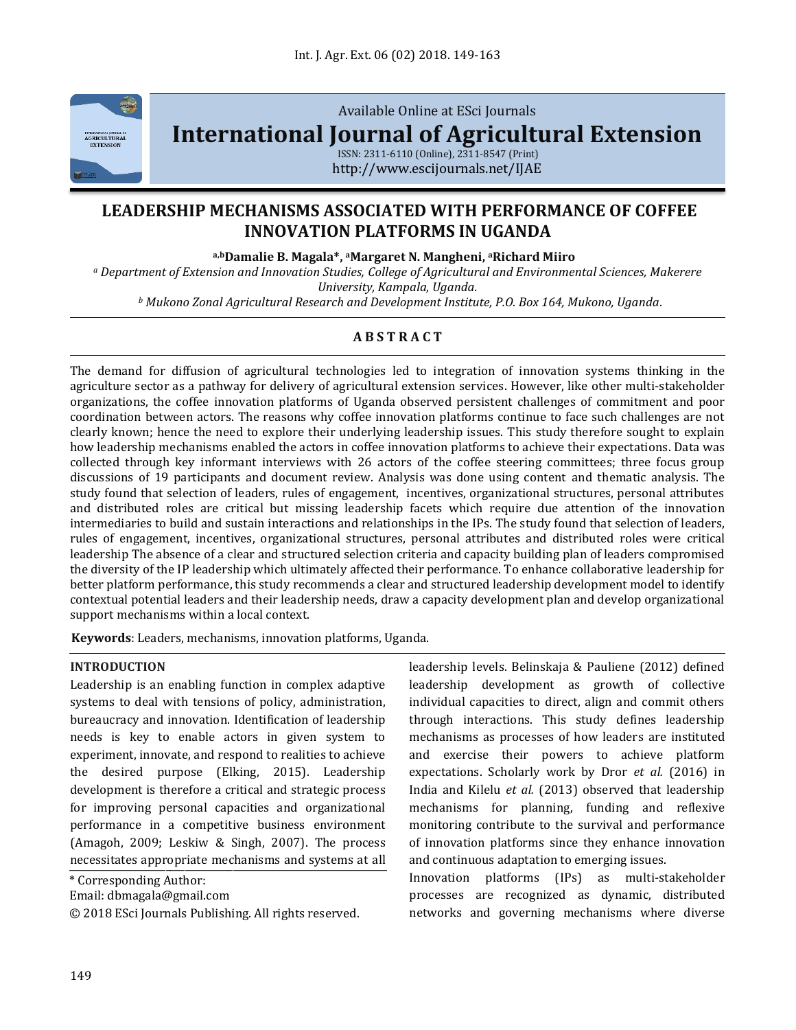

Available Online at ESci Journals

**[International Journal of Agricultural Extension](http://www.escijournals.net/IJER)**

ISSN: 2311-6110 (Online), 2311-8547 (Print) http://www.escijournals.net/IJAE

# **LEADERSHIP MECHANISMS ASSOCIATED WITH PERFORMANCE OF COFFEE INNOVATION PLATFORMS IN UGANDA**

**a,bDamalie B. Magala\*, <sup>a</sup>Margaret N. Mangheni, <sup>a</sup>Richard Miiro**

*<sup>a</sup> Department of Extension and Innovation Studies, College of Agricultural and Environmental Sciences, Makerere University, Kampala, Uganda.*

*<sup>b</sup> Mukono Zonal Agricultural Research and Development Institute, P.O. Box 164, Mukono, Uganda.*

# **A B S T R A C T**

The demand for diffusion of agricultural technologies led to integration of innovation systems thinking in the agriculture sector as a pathway for delivery of agricultural extension services. However, like other multi-stakeholder organizations, the coffee innovation platforms of Uganda observed persistent challenges of commitment and poor coordination between actors. The reasons why coffee innovation platforms continue to face such challenges are not clearly known; hence the need to explore their underlying leadership issues. This study therefore sought to explain how leadership mechanisms enabled the actors in coffee innovation platforms to achieve their expectations. Data was collected through key informant interviews with 26 actors of the coffee steering committees; three focus group discussions of 19 participants and document review. Analysis was done using content and thematic analysis. The study found that selection of leaders, rules of engagement, incentives, organizational structures, personal attributes and distributed roles are critical but missing leadership facets which require due attention of the innovation intermediaries to build and sustain interactions and relationships in the IPs. The study found that selection of leaders, rules of engagement, incentives, organizational structures, personal attributes and distributed roles were critical leadership The absence of a clear and structured selection criteria and capacity building plan of leaders compromised the diversity of the IP leadership which ultimately affected their performance. To enhance collaborative leadership for better platform performance, this study recommends a clear and structured leadership development model to identify contextual potential leaders and their leadership needs, draw a capacity development plan and develop organizational support mechanisms within a local context.

**Keywords**: Leaders, mechanisms, innovation platforms, Uganda.

#### **INTRODUCTION**

Leadership is an enabling function in complex adaptive systems to deal with tensions of policy, administration, bureaucracy and innovation. Identification of leadership needs is key to enable actors in given system to experiment, innovate, and respond to realities to achieve the desired purpose (Elking, 2015). Leadership development is therefore a critical and strategic process for improving personal capacities and organizational performance in a competitive business environment (Amagoh, 2009; Leskiw & Singh, 2007). The process necessitates appropriate mechanisms and systems at all

\* Corresponding Author:

Email: dbmagala@gmail.com

© 2018 ESci Journals Publishing. All rights reserved.

leadership levels. Belinskaja & Pauliene (2012) defined leadership development as growth of collective individual capacities to direct, align and commit others through interactions. This study defines leadership mechanisms as processes of how leaders are instituted and exercise their powers to achieve platform expectations. Scholarly work by Dror *et al.* (2016) in India and Kilelu *et al.* (2013) observed that leadership mechanisms for planning, funding and reflexive monitoring contribute to the survival and performance of innovation platforms since they enhance innovation and continuous adaptation to emerging issues.

Innovation platforms (IPs) as multi-stakeholder processes are recognized as dynamic, distributed networks and governing mechanisms where diverse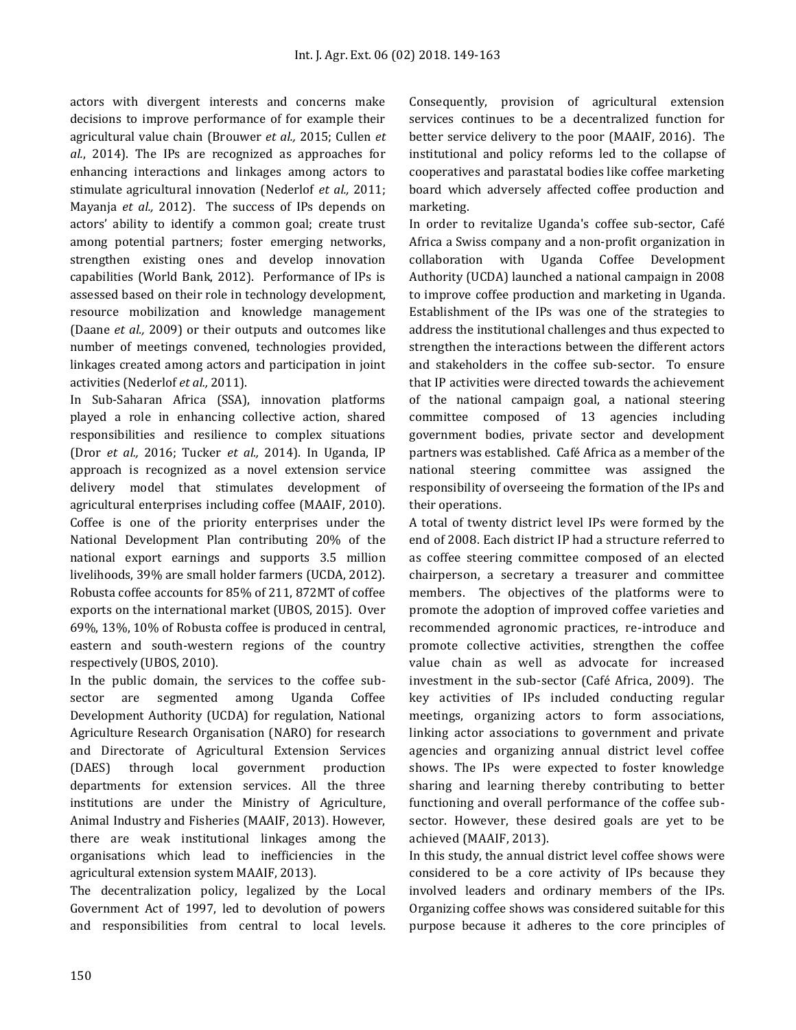actors with divergent interests and concerns make decisions to improve performance of for example their agricultural value chain (Brouwer *et al.,* 2015; Cullen *et al.*, 2014). The IPs are recognized as approaches for enhancing interactions and linkages among actors to stimulate agricultural innovation (Nederlof *et al.,* 2011; Mayanja *et al.,* 2012). The success of IPs depends on actors' ability to identify a common goal; create trust among potential partners; foster emerging networks, strengthen existing ones and develop innovation capabilities (World Bank, 2012). Performance of IPs is assessed based on their role in technology development, resource mobilization and knowledge management (Daane *et al.,* 2009) or their outputs and outcomes like number of meetings convened, technologies provided, linkages created among actors and participation in joint activities (Nederlof *et al.,* 2011).

In Sub-Saharan Africa (SSA), innovation platforms played a role in enhancing collective action, shared responsibilities and resilience to complex situations (Dror *et al.,* 2016; Tucker *et al.,* 2014). In Uganda, IP approach is recognized as a novel extension service delivery model that stimulates development of agricultural enterprises including coffee (MAAIF, 2010). Coffee is one of the priority enterprises under the National Development Plan contributing 20% of the national export earnings and supports 3.5 million livelihoods, 39% are small holder farmers (UCDA, 2012). Robusta coffee accounts for 85% of 211, 872MT of coffee exports on the international market (UBOS, 2015). Over 69%, 13%, 10% of Robusta coffee is produced in central, eastern and south-western regions of the country respectively (UBOS, 2010).

In the public domain, the services to the coffee subsector are segmented among Uganda Coffee Development Authority (UCDA) for regulation, National Agriculture Research Organisation (NARO) for research and Directorate of Agricultural Extension Services (DAES) through local government production departments for extension services. All the three institutions are under the Ministry of Agriculture, Animal Industry and Fisheries (MAAIF, 2013). However, there are weak institutional linkages among the organisations which lead to inefficiencies in the agricultural extension system MAAIF, 2013).

The decentralization policy, legalized by the Local Government Act of 1997, led to devolution of powers and responsibilities from central to local levels. Consequently, provision of agricultural extension services continues to be a decentralized function for better service delivery to the poor (MAAIF, 2016). The institutional and policy reforms led to the collapse of cooperatives and parastatal bodies like coffee marketing board which adversely affected coffee production and marketing.

In order to revitalize Uganda's coffee sub-sector, Café Africa a Swiss company and a non-profit organization in collaboration with Uganda Coffee Development Authority (UCDA) launched a national campaign in 2008 to improve coffee production and marketing in Uganda. Establishment of the IPs was one of the strategies to address the institutional challenges and thus expected to strengthen the interactions between the different actors and stakeholders in the coffee sub-sector. To ensure that IP activities were directed towards the achievement of the national campaign goal, a national steering committee composed of 13 agencies including government bodies, private sector and development partners was established. Café Africa as a member of the national steering committee was assigned the responsibility of overseeing the formation of the IPs and their operations.

A total of twenty district level IPs were formed by the end of 2008. Each district IP had a structure referred to as coffee steering committee composed of an elected chairperson, a secretary a treasurer and committee members. The objectives of the platforms were to promote the adoption of improved coffee varieties and recommended agronomic practices, re-introduce and promote collective activities, strengthen the coffee value chain as well as advocate for increased investment in the sub-sector (Café Africa, 2009). The key activities of IPs included conducting regular meetings, organizing actors to form associations, linking actor associations to government and private agencies and organizing annual district level coffee shows. The IPs were expected to foster knowledge sharing and learning thereby contributing to better functioning and overall performance of the coffee subsector. However, these desired goals are yet to be achieved (MAAIF, 2013).

In this study, the annual district level coffee shows were considered to be a core activity of IPs because they involved leaders and ordinary members of the IPs. Organizing coffee shows was considered suitable for this purpose because it adheres to the core principles of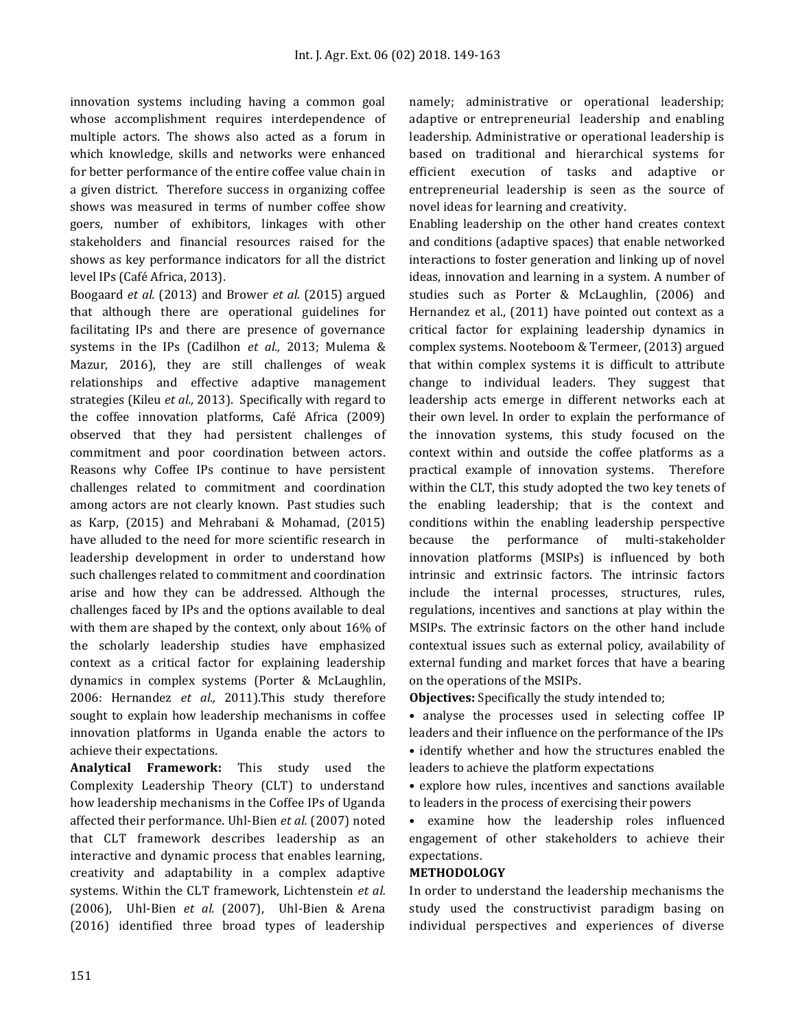innovation systems including having a common goal whose accomplishment requires interdependence of multiple actors. The shows also acted as a forum in which knowledge, skills and networks were enhanced for better performance of the entire coffee value chain in a given district. Therefore success in organizing coffee shows was measured in terms of number coffee show goers, number of exhibitors, linkages with other stakeholders and financial resources raised for the shows as key performance indicators for all the district level IPs (Café Africa, 2013).

Boogaard *et al.* (2013) and Brower *et al.* (2015) argued that although there are operational guidelines for facilitating IPs and there are presence of governance systems in the IPs (Cadilhon *et al.,* 2013; Mulema & Mazur, 2016), they are still challenges of weak relationships and effective adaptive management strategies (Kileu *et al.,* 2013). Specifically with regard to the coffee innovation platforms, Café Africa (2009) observed that they had persistent challenges of commitment and poor coordination between actors. Reasons why Coffee IPs continue to have persistent challenges related to commitment and coordination among actors are not clearly known. Past studies such as Karp, (2015) and Mehrabani & Mohamad, (2015) have alluded to the need for more scientific research in leadership development in order to understand how such challenges related to commitment and coordination arise and how they can be addressed. Although the challenges faced by IPs and the options available to deal with them are shaped by the context, only about 16% of the scholarly leadership studies have emphasized context as a critical factor for explaining leadership dynamics in complex systems (Porter & McLaughlin, 2006: Hernandez *et al.,* 2011).This study therefore sought to explain how leadership mechanisms in coffee innovation platforms in Uganda enable the actors to achieve their expectations.

**Analytical Framework:** This study used the Complexity Leadership Theory (CLT) to understand how leadership mechanisms in the Coffee IPs of Uganda affected their performance. Uhl-Bien *et al.* (2007) noted that CLT framework describes leadership as an interactive and dynamic process that enables learning, creativity and adaptability in a complex adaptive systems. Within the CLT framework, Lichtenstein *et al.* (2006), Uhl-Bien *et al.* (2007), Uhl-Bien & Arena (2016) identified three broad types of leadership

namely; administrative or operational leadership; adaptive or entrepreneurial leadership and enabling leadership. Administrative or operational leadership is based on traditional and hierarchical systems for efficient execution of tasks and adaptive or entrepreneurial leadership is seen as the source of novel ideas for learning and creativity.

Enabling leadership on the other hand creates context and conditions (adaptive spaces) that enable networked interactions to foster generation and linking up of novel ideas, innovation and learning in a system. A number of studies such as Porter & McLaughlin, (2006) and Hernandez et al., (2011) have pointed out context as a critical factor for explaining leadership dynamics in complex systems. Nooteboom & Termeer, (2013) argued that within complex systems it is difficult to attribute change to individual leaders. They suggest that leadership acts emerge in different networks each at their own level. In order to explain the performance of the innovation systems, this study focused on the context within and outside the coffee platforms as a practical example of innovation systems. Therefore within the CLT, this study adopted the two key tenets of the enabling leadership; that is the context and conditions within the enabling leadership perspective because the performance of multi-stakeholder innovation platforms (MSIPs) is influenced by both intrinsic and extrinsic factors. The intrinsic factors include the internal processes, structures, rules, regulations, incentives and sanctions at play within the MSIPs. The extrinsic factors on the other hand include contextual issues such as external policy, availability of external funding and market forces that have a bearing on the operations of the MSIPs.

**Objectives:** Specifically the study intended to;

• analyse the processes used in selecting coffee IP leaders and their influence on the performance of the IPs • identify whether and how the structures enabled the leaders to achieve the platform expectations

• explore how rules, incentives and sanctions available to leaders in the process of exercising their powers

• examine how the leadership roles influenced engagement of other stakeholders to achieve their expectations.

#### **METHODOLOGY**

In order to understand the leadership mechanisms the study used the constructivist paradigm basing on individual perspectives and experiences of diverse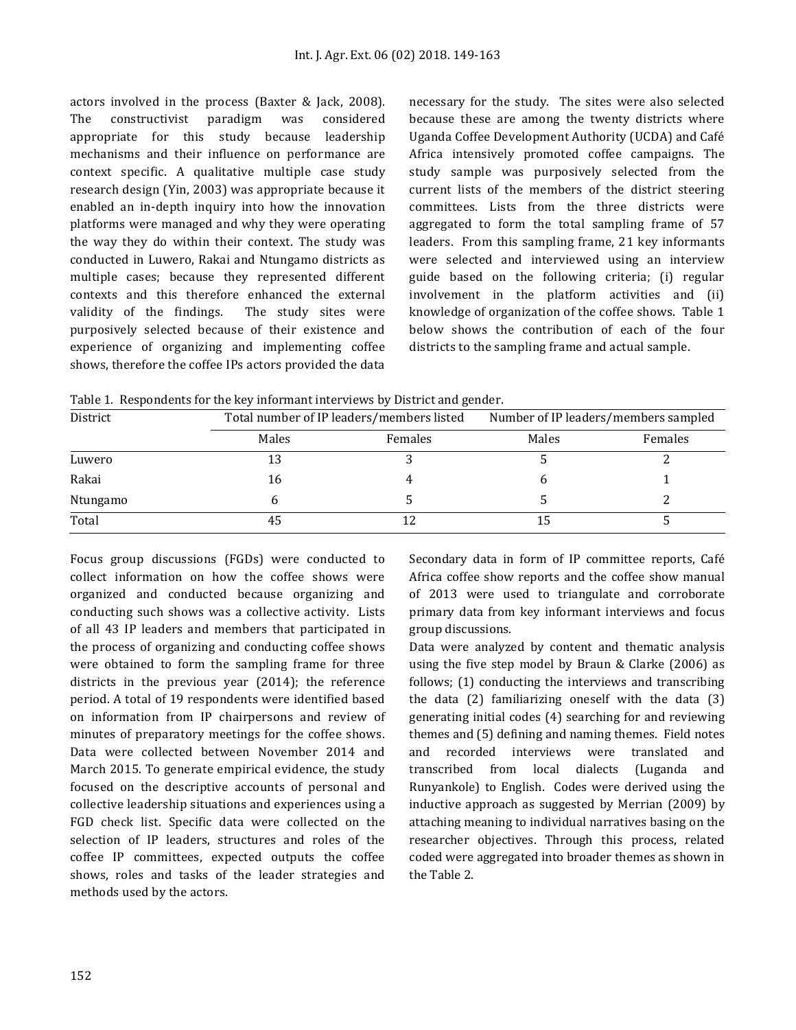actors involved in the process (Baxter & Jack, 2008). The constructivist paradigm was considered appropriate for this study because leadership mechanisms and their influence on performance are context specific. A qualitative multiple case study research design (Yin, 2003) was appropriate because it enabled an in-depth inquiry into how the innovation platforms were managed and why they were operating the way they do within their context. The study was conducted in Luwero, Rakai and Ntungamo districts as multiple cases; because they represented different contexts and this therefore enhanced the external validity of the findings. The study sites were purposively selected because of their existence and experience of organizing and implementing coffee shows, therefore the coffee IPs actors provided the data necessary for the study. The sites were also selected because these are among the twenty districts where Uganda Coffee Development Authority (UCDA) and Café Africa intensively promoted coffee campaigns. The study sample was purposively selected from the current lists of the members of the district steering committees. Lists from the three districts were aggregated to form the total sampling frame of 57 leaders. From this sampling frame, 21 key informants were selected and interviewed using an interview guide based on the following criteria; (i) regular involvement in the platform activities and (ii) knowledge of organization of the coffee shows. Table 1 below shows the contribution of each of the four districts to the sampling frame and actual sample.

Table 1. Respondents for the key informant interviews by District and gender.

| District |       | Total number of IP leaders/members listed |       | Number of IP leaders/members sampled |  |  |
|----------|-------|-------------------------------------------|-------|--------------------------------------|--|--|
|          | Males | Females                                   | Males | Females                              |  |  |
| Luwero   |       |                                           |       |                                      |  |  |
| Rakai    | 16    |                                           |       |                                      |  |  |
| Ntungamo |       |                                           |       |                                      |  |  |
| Total    |       |                                           |       |                                      |  |  |

Focus group discussions (FGDs) were conducted to collect information on how the coffee shows were organized and conducted because organizing and conducting such shows was a collective activity. Lists of all 43 IP leaders and members that participated in the process of organizing and conducting coffee shows were obtained to form the sampling frame for three districts in the previous year (2014); the reference period. A total of 19 respondents were identified based on information from IP chairpersons and review of minutes of preparatory meetings for the coffee shows. Data were collected between November 2014 and March 2015. To generate empirical evidence, the study focused on the descriptive accounts of personal and collective leadership situations and experiences using a FGD check list. Specific data were collected on the selection of IP leaders, structures and roles of the coffee IP committees, expected outputs the coffee shows, roles and tasks of the leader strategies and methods used by the actors.

Secondary data in form of IP committee reports, Café Africa coffee show reports and the coffee show manual of 2013 were used to triangulate and corroborate primary data from key informant interviews and focus group discussions.

Data were analyzed by content and thematic analysis using the five step model by Braun & Clarke (2006) as follows; (1) conducting the interviews and transcribing the data (2) familiarizing oneself with the data (3) generating initial codes (4) searching for and reviewing themes and (5) defining and naming themes. Field notes and recorded interviews were translated and transcribed from local dialects (Luganda and Runyankole) to English. Codes were derived using the inductive approach as suggested by Merrian (2009) by attaching meaning to individual narratives basing on the researcher objectives. Through this process, related coded were aggregated into broader themes as shown in the Table 2.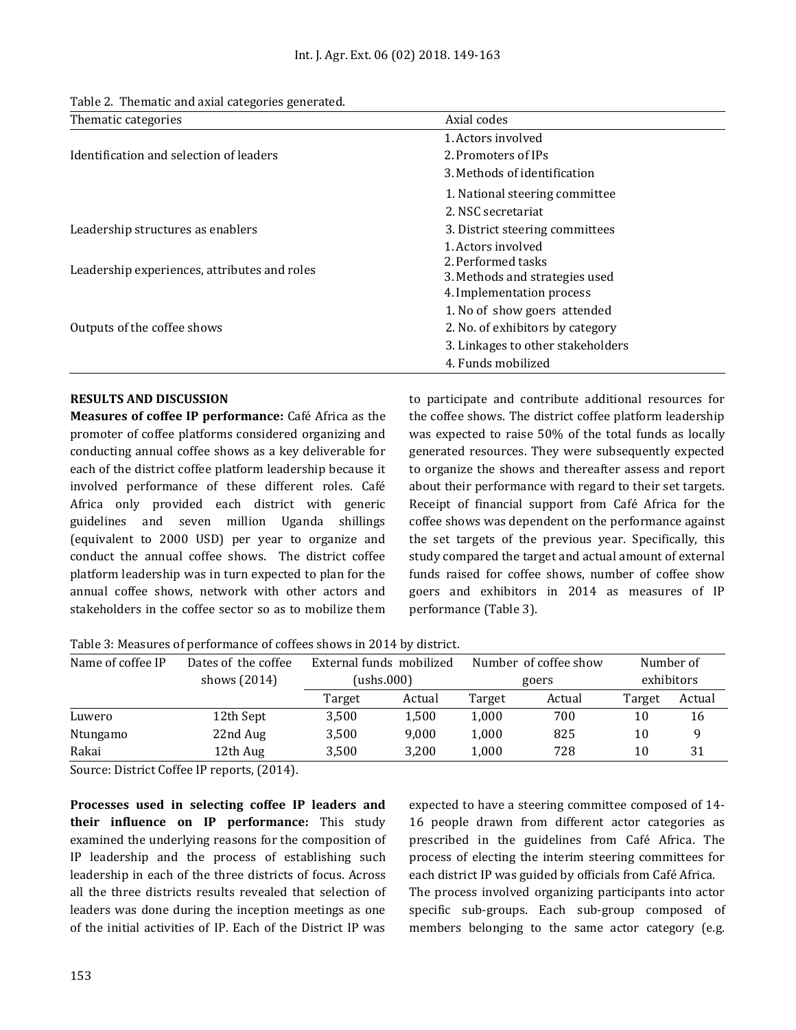|  | Table 2. Thematic and axial categories generated. |  |  |  |
|--|---------------------------------------------------|--|--|--|
|--|---------------------------------------------------|--|--|--|

| Thematic categories                          | Axial codes                                                                                             |  |  |
|----------------------------------------------|---------------------------------------------------------------------------------------------------------|--|--|
|                                              | 1. Actors involved                                                                                      |  |  |
| Identification and selection of leaders      | 2. Promoters of IPs                                                                                     |  |  |
|                                              | 3. Methods of identification                                                                            |  |  |
|                                              | 1. National steering committee                                                                          |  |  |
|                                              | 2. NSC secretariat                                                                                      |  |  |
| Leadership structures as enablers            | 3. District steering committees                                                                         |  |  |
| Leadership experiences, attributes and roles | 1. Actors involved<br>2. Performed tasks<br>3. Methods and strategies used<br>4. Implementation process |  |  |
| Outputs of the coffee shows                  | 1. No of show goers attended<br>2. No. of exhibitors by category<br>3. Linkages to other stakeholders   |  |  |
|                                              | 4. Funds mobilized                                                                                      |  |  |

# **RESULTS AND DISCUSSION**

**Measures of coffee IP performance:** Café Africa as the promoter of coffee platforms considered organizing and conducting annual coffee shows as a key deliverable for each of the district coffee platform leadership because it involved performance of these different roles. Café Africa only provided each district with generic guidelines and seven million Uganda shillings (equivalent to 2000 USD) per year to organize and conduct the annual coffee shows. The district coffee platform leadership was in turn expected to plan for the annual coffee shows, network with other actors and stakeholders in the coffee sector so as to mobilize them to participate and contribute additional resources for the coffee shows. The district coffee platform leadership was expected to raise 50% of the total funds as locally generated resources. They were subsequently expected to organize the shows and thereafter assess and report about their performance with regard to their set targets. Receipt of financial support from Café Africa for the coffee shows was dependent on the performance against the set targets of the previous year. Specifically, this study compared the target and actual amount of external funds raised for coffee shows, number of coffee show goers and exhibitors in 2014 as measures of IP performance (Table 3).

Table 3: Measures of performance of coffees shows in 2014 by district.

| Name of coffee IP | Dates of the coffee | External funds mobilized |        | Number of coffee show |        | Number of  |        |
|-------------------|---------------------|--------------------------|--------|-----------------------|--------|------------|--------|
|                   | shows (2014)        | (ushs.000)               |        | goers                 |        | exhibitors |        |
|                   |                     | Target                   | Actual | Target                | Actual | Target     | Actual |
| Luwero            | 12th Sept           | 3,500                    | 1,500  | 1,000                 | 700    | 10         | 16     |
| Ntungamo          | 22nd Aug            | 3,500                    | 9,000  | 1,000                 | 825    | 10         |        |
| Rakai             | 12th Aug            | 3,500                    | 3,200  | 1,000                 | 728    | 10         | 31     |

Source: District Coffee IP reports, (2014).

**Processes used in selecting coffee IP leaders and their influence on IP performance:** This study examined the underlying reasons for the composition of IP leadership and the process of establishing such leadership in each of the three districts of focus. Across all the three districts results revealed that selection of leaders was done during the inception meetings as one of the initial activities of IP. Each of the District IP was

expected to have a steering committee composed of 14- 16 people drawn from different actor categories as prescribed in the guidelines from Café Africa. The process of electing the interim steering committees for each district IP was guided by officials from Café Africa. The process involved organizing participants into actor specific sub-groups. Each sub-group composed of members belonging to the same actor category (e.g.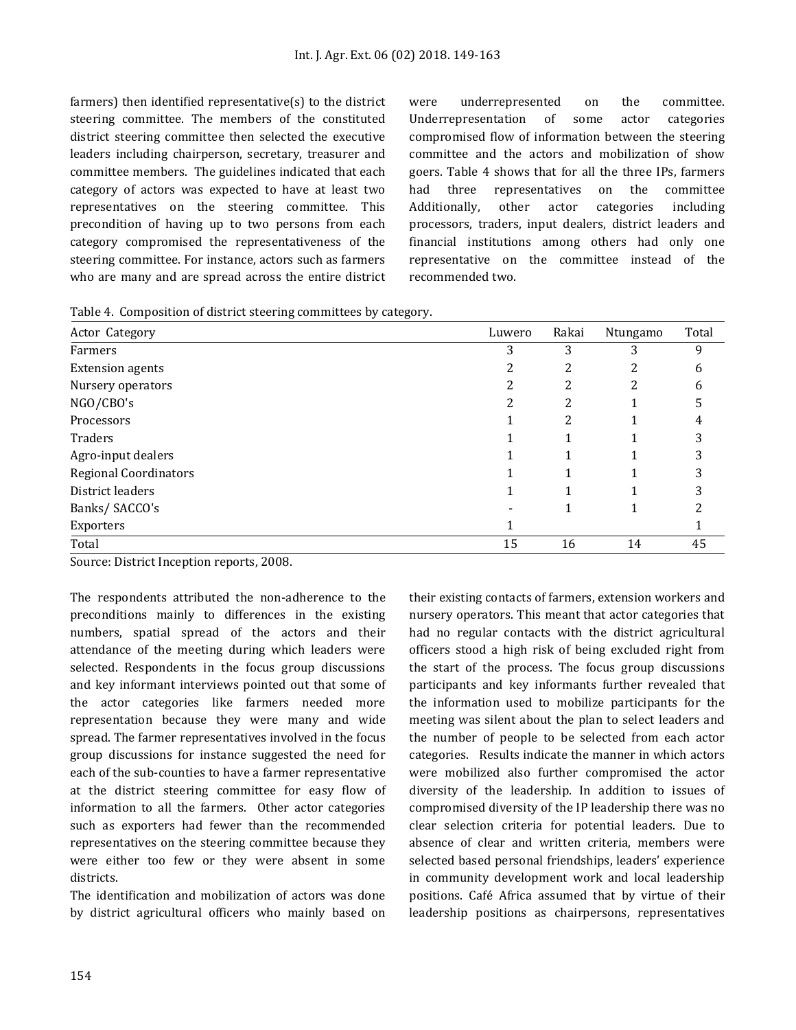farmers) then identified representative(s) to the district steering committee. The members of the constituted district steering committee then selected the executive leaders including chairperson, secretary, treasurer and committee members. The guidelines indicated that each category of actors was expected to have at least two representatives on the steering committee. This precondition of having up to two persons from each category compromised the representativeness of the steering committee. For instance, actors such as farmers who are many and are spread across the entire district were underrepresented on the committee. Underrepresentation of some actor categories compromised flow of information between the steering committee and the actors and mobilization of show goers. Table 4 shows that for all the three IPs, farmers had three representatives on the committee Additionally, other actor categories including processors, traders, input dealers, district leaders and financial institutions among others had only one representative on the committee instead of the recommended two.

Table 4. Composition of district steering committees by category.

| Actor Category               | Luwero | Rakai  | Ntungamo | Total        |
|------------------------------|--------|--------|----------|--------------|
| Farmers                      | 3      | 3      | 3        | 9            |
| <b>Extension agents</b>      | ∠      | า<br>∠ | ∠        | 6            |
| Nursery operators            |        | 2      | 2        | <sub>6</sub> |
| NGO/CBO's                    | っ      | 2      |          |              |
| Processors                   |        | 2      |          | 4            |
| Traders                      |        |        |          | 3            |
| Agro-input dealers           |        |        |          |              |
| <b>Regional Coordinators</b> |        |        |          |              |
| District leaders             |        |        |          |              |
| Banks/SACCO's                |        |        |          |              |
| Exporters                    |        |        |          |              |
| Total                        | 15     | 16     | 14       | 45           |

Source: District Inception reports, 2008.

The respondents attributed the non-adherence to the preconditions mainly to differences in the existing numbers, spatial spread of the actors and their attendance of the meeting during which leaders were selected. Respondents in the focus group discussions and key informant interviews pointed out that some of the actor categories like farmers needed more representation because they were many and wide spread. The farmer representatives involved in the focus group discussions for instance suggested the need for each of the sub-counties to have a farmer representative at the district steering committee for easy flow of information to all the farmers. Other actor categories such as exporters had fewer than the recommended representatives on the steering committee because they were either too few or they were absent in some districts.

The identification and mobilization of actors was done by district agricultural officers who mainly based on their existing contacts of farmers, extension workers and nursery operators. This meant that actor categories that had no regular contacts with the district agricultural officers stood a high risk of being excluded right from the start of the process. The focus group discussions participants and key informants further revealed that the information used to mobilize participants for the meeting was silent about the plan to select leaders and the number of people to be selected from each actor categories. Results indicate the manner in which actors were mobilized also further compromised the actor diversity of the leadership. In addition to issues of compromised diversity of the IP leadership there was no clear selection criteria for potential leaders. Due to absence of clear and written criteria, members were selected based personal friendships, leaders' experience in community development work and local leadership positions. Café Africa assumed that by virtue of their leadership positions as chairpersons, representatives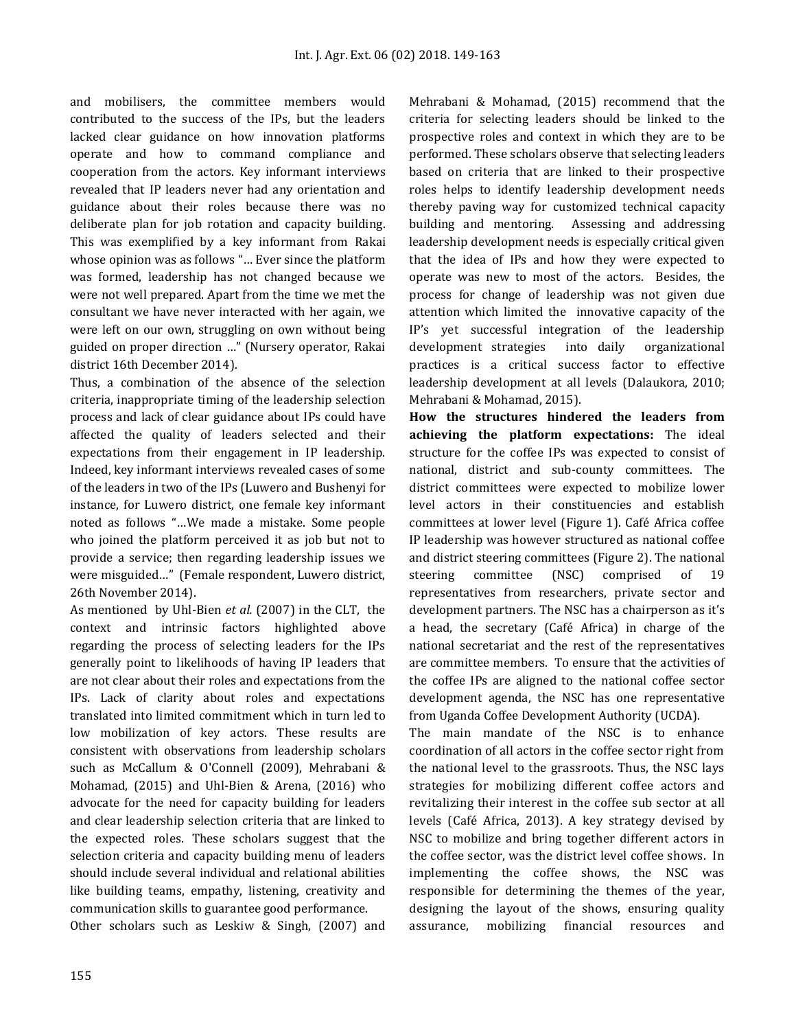and mobilisers, the committee members would contributed to the success of the IPs, but the leaders lacked clear guidance on how innovation platforms operate and how to command compliance and cooperation from the actors. Key informant interviews revealed that IP leaders never had any orientation and guidance about their roles because there was no deliberate plan for job rotation and capacity building. This was exemplified by a key informant from Rakai whose opinion was as follows "… Ever since the platform was formed, leadership has not changed because we were not well prepared. Apart from the time we met the consultant we have never interacted with her again, we were left on our own, struggling on own without being guided on proper direction …" (Nursery operator, Rakai district 16th December 2014).

Thus, a combination of the absence of the selection criteria, inappropriate timing of the leadership selection process and lack of clear guidance about IPs could have affected the quality of leaders selected and their expectations from their engagement in IP leadership. Indeed, key informant interviews revealed cases of some of the leaders in two of the IPs (Luwero and Bushenyi for instance, for Luwero district, one female key informant noted as follows "…We made a mistake. Some people who joined the platform perceived it as job but not to provide a service; then regarding leadership issues we were misguided…" (Female respondent, Luwero district, 26th November 2014).

As mentioned by Uhl-Bien *et al.* (2007) in the CLT, the context and intrinsic factors highlighted above regarding the process of selecting leaders for the IPs generally point to likelihoods of having IP leaders that are not clear about their roles and expectations from the IPs. Lack of clarity about roles and expectations translated into limited commitment which in turn led to low mobilization of key actors. These results are consistent with observations from leadership scholars such as McCallum & O'Connell (2009), Mehrabani & Mohamad, (2015) and Uhl-Bien & Arena, (2016) who advocate for the need for capacity building for leaders and clear leadership selection criteria that are linked to the expected roles. These scholars suggest that the selection criteria and capacity building menu of leaders should include several individual and relational abilities like building teams, empathy, listening, creativity and communication skills to guarantee good performance.

Other scholars such as Leskiw & Singh, (2007) and

Mehrabani & Mohamad, (2015) recommend that the criteria for selecting leaders should be linked to the prospective roles and context in which they are to be performed. These scholars observe that selecting leaders based on criteria that are linked to their prospective roles helps to identify leadership development needs thereby paving way for customized technical capacity building and mentoring. Assessing and addressing leadership development needs is especially critical given that the idea of IPs and how they were expected to operate was new to most of the actors. Besides, the process for change of leadership was not given due attention which limited the innovative capacity of the IP's yet successful integration of the leadership development strategies into daily organizational practices is a critical success factor to effective leadership development at all levels (Dalaukora, 2010; Mehrabani & Mohamad, 2015).

**How the structures hindered the leaders from achieving the platform expectations:** The ideal structure for the coffee IPs was expected to consist of national, district and sub-county committees. The district committees were expected to mobilize lower level actors in their constituencies and establish committees at lower level (Figure 1). Café Africa coffee IP leadership was however structured as national coffee and district steering committees (Figure 2). The national steering committee (NSC) comprised of 19 representatives from researchers, private sector and development partners. The NSC has a chairperson as it's a head, the secretary (Café Africa) in charge of the national secretariat and the rest of the representatives are committee members. To ensure that the activities of the coffee IPs are aligned to the national coffee sector development agenda, the NSC has one representative from Uganda Coffee Development Authority (UCDA).

The main mandate of the NSC is to enhance coordination of all actors in the coffee sector right from the national level to the grassroots. Thus, the NSC lays strategies for mobilizing different coffee actors and revitalizing their interest in the coffee sub sector at all levels (Café Africa, 2013). A key strategy devised by NSC to mobilize and bring together different actors in the coffee sector, was the district level coffee shows. In implementing the coffee shows, the NSC was responsible for determining the themes of the year, designing the layout of the shows, ensuring quality assurance, mobilizing financial resources and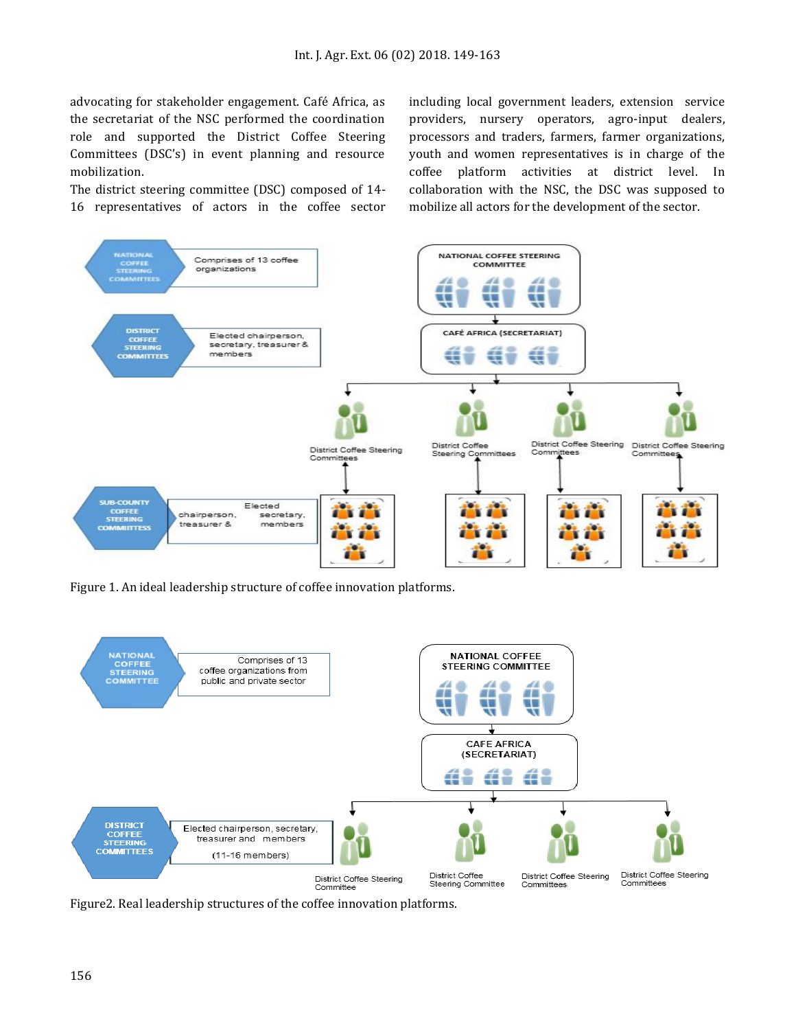advocating for stakeholder engagement. Café Africa, as the secretariat of the NSC performed the coordination role and supported the District Coffee Steering Committees (DSC's) in event planning and resource mobilization.

The district steering committee (DSC) composed of 14- 16 representatives of actors in the coffee sector including local government leaders, extension service providers, nursery operators, agro-input dealers, processors and traders, farmers, farmer organizations, youth and women representatives is in charge of the coffee platform activities at district level. In collaboration with the NSC, the DSC was supposed to mobilize all actors for the development of the sector.



Figure 1. An ideal leadership structure of coffee innovation platforms.



Figure2. Real leadership structures of the coffee innovation platforms.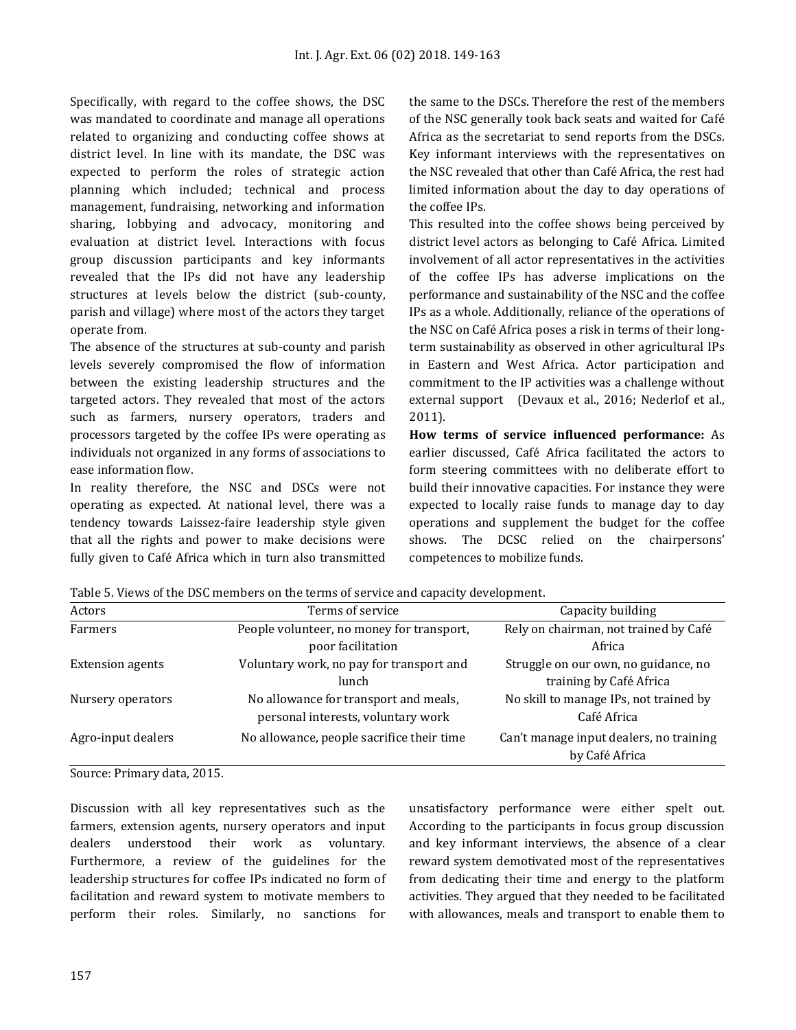Specifically, with regard to the coffee shows, the DSC was mandated to coordinate and manage all operations related to organizing and conducting coffee shows at district level. In line with its mandate, the DSC was expected to perform the roles of strategic action planning which included; technical and process management, fundraising, networking and information sharing, lobbying and advocacy, monitoring and evaluation at district level. Interactions with focus group discussion participants and key informants revealed that the IPs did not have any leadership structures at levels below the district (sub-county, parish and village) where most of the actors they target operate from.

The absence of the structures at sub-county and parish levels severely compromised the flow of information between the existing leadership structures and the targeted actors. They revealed that most of the actors such as farmers, nursery operators, traders and processors targeted by the coffee IPs were operating as individuals not organized in any forms of associations to ease information flow.

In reality therefore, the NSC and DSCs were not operating as expected. At national level, there was a tendency towards Laissez-faire leadership style given that all the rights and power to make decisions were fully given to Café Africa which in turn also transmitted

the same to the DSCs. Therefore the rest of the members of the NSC generally took back seats and waited for Café Africa as the secretariat to send reports from the DSCs. Key informant interviews with the representatives on the NSC revealed that other than Café Africa, the rest had limited information about the day to day operations of the coffee IPs.

This resulted into the coffee shows being perceived by district level actors as belonging to Café Africa. Limited involvement of all actor representatives in the activities of the coffee IPs has adverse implications on the performance and sustainability of the NSC and the coffee IPs as a whole. Additionally, reliance of the operations of the NSC on Café Africa poses a risk in terms of their longterm sustainability as observed in other agricultural IPs in Eastern and West Africa. Actor participation and commitment to the IP activities was a challenge without external support (Devaux et al., 2016; Nederlof et al., 2011).

**How terms of service influenced performance:** As earlier discussed, Café Africa facilitated the actors to form steering committees with no deliberate effort to build their innovative capacities. For instance they were expected to locally raise funds to manage day to day operations and supplement the budget for the coffee shows. The DCSC relied on the chairpersons' competences to mobilize funds.

| Actors                  | Terms of service                                                            | Capacity building                                               |
|-------------------------|-----------------------------------------------------------------------------|-----------------------------------------------------------------|
| Farmers                 | People volunteer, no money for transport,                                   | Rely on chairman, not trained by Café                           |
|                         | poor facilitation                                                           | Africa                                                          |
| <b>Extension agents</b> | Voluntary work, no pay for transport and<br>lunch                           | Struggle on our own, no guidance, no<br>training by Café Africa |
| Nursery operators       | No allowance for transport and meals,<br>personal interests, voluntary work | No skill to manage IPs, not trained by<br>Café Africa           |
| Agro-input dealers      | No allowance, people sacrifice their time                                   | Can't manage input dealers, no training<br>by Café Africa       |

Table 5. Views of the DSC members on the terms of service and capacity development.

Source: Primary data, 2015.

Discussion with all key representatives such as the farmers, extension agents, nursery operators and input dealers understood their work as voluntary. Furthermore, a review of the guidelines for the leadership structures for coffee IPs indicated no form of facilitation and reward system to motivate members to perform their roles. Similarly, no sanctions for unsatisfactory performance were either spelt out. According to the participants in focus group discussion and key informant interviews, the absence of a clear reward system demotivated most of the representatives from dedicating their time and energy to the platform activities. They argued that they needed to be facilitated with allowances, meals and transport to enable them to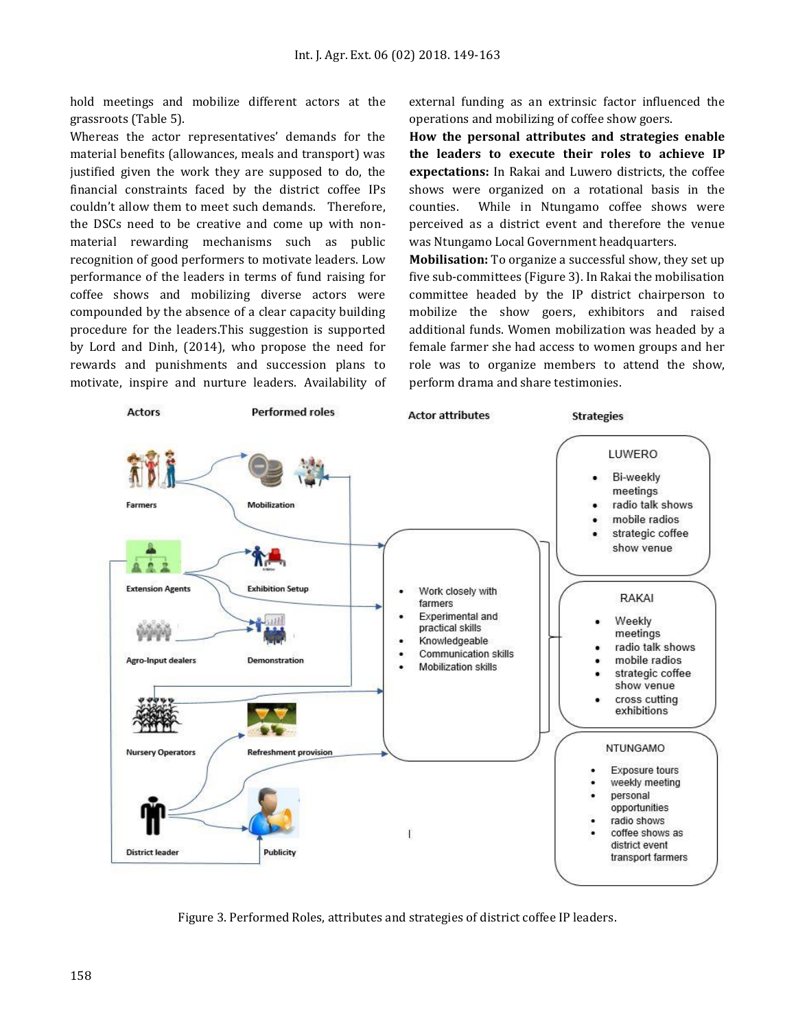hold meetings and mobilize different actors at the grassroots (Table 5).

Whereas the actor representatives' demands for the material benefits (allowances, meals and transport) was justified given the work they are supposed to do, the financial constraints faced by the district coffee IPs couldn't allow them to meet such demands. Therefore, the DSCs need to be creative and come up with nonmaterial rewarding mechanisms such as public recognition of good performers to motivate leaders. Low performance of the leaders in terms of fund raising for coffee shows and mobilizing diverse actors were compounded by the absence of a clear capacity building procedure for the leaders.This suggestion is supported by Lord and Dinh, (2014), who propose the need for rewards and punishments and succession plans to motivate, inspire and nurture leaders. Availability of external funding as an extrinsic factor influenced the operations and mobilizing of coffee show goers.

**How the personal attributes and strategies enable the leaders to execute their roles to achieve IP expectations:** In Rakai and Luwero districts, the coffee shows were organized on a rotational basis in the counties. While in Ntungamo coffee shows were perceived as a district event and therefore the venue was Ntungamo Local Government headquarters.

**Mobilisation:** To organize a successful show, they set up five sub-committees (Figure 3). In Rakai the mobilisation committee headed by the IP district chairperson to mobilize the show goers, exhibitors and raised additional funds. Women mobilization was headed by a female farmer she had access to women groups and her role was to organize members to attend the show, perform drama and share testimonies.



Figure 3. Performed Roles, attributes and strategies of district coffee IP leaders.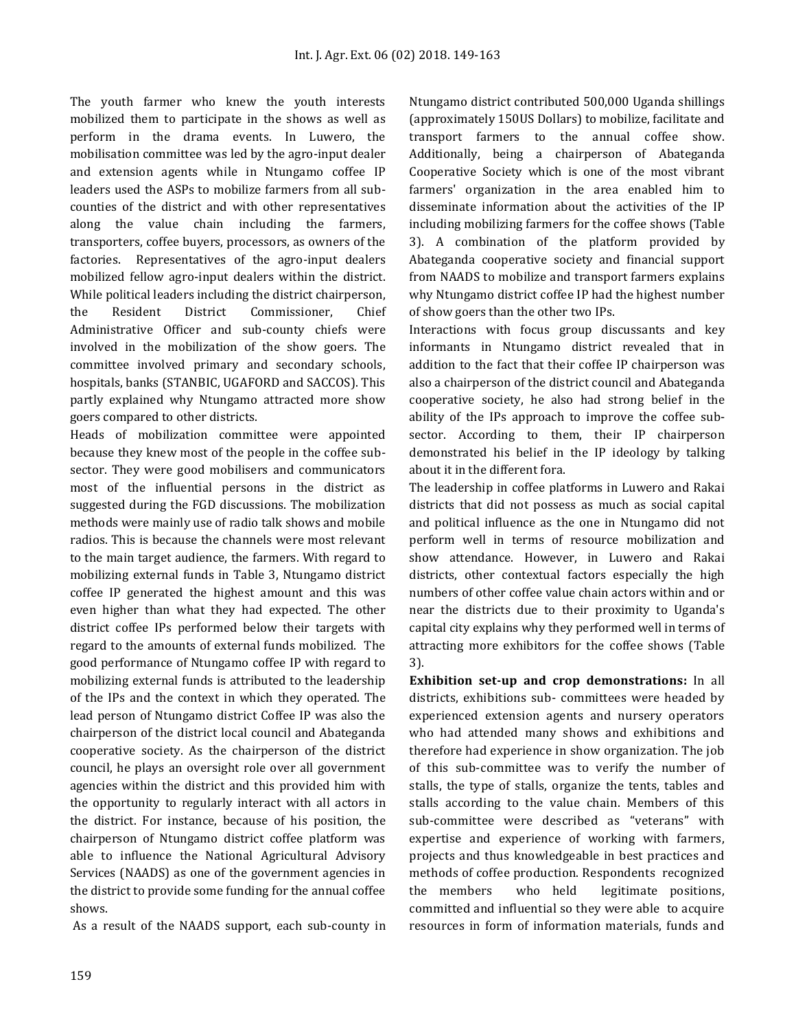The youth farmer who knew the youth interests mobilized them to participate in the shows as well as perform in the drama events. In Luwero, the mobilisation committee was led by the agro-input dealer and extension agents while in Ntungamo coffee IP leaders used the ASPs to mobilize farmers from all subcounties of the district and with other representatives along the value chain including the farmers, transporters, coffee buyers, processors, as owners of the factories. Representatives of the agro-input dealers mobilized fellow agro-input dealers within the district. While political leaders including the district chairperson, the Resident District Commissioner, Chief Administrative Officer and sub-county chiefs were involved in the mobilization of the show goers. The committee involved primary and secondary schools, hospitals, banks (STANBIC, UGAFORD and SACCOS). This partly explained why Ntungamo attracted more show goers compared to other districts.

Heads of mobilization committee were appointed because they knew most of the people in the coffee subsector. They were good mobilisers and communicators most of the influential persons in the district as suggested during the FGD discussions. The mobilization methods were mainly use of radio talk shows and mobile radios. This is because the channels were most relevant to the main target audience, the farmers. With regard to mobilizing external funds in Table 3, Ntungamo district coffee IP generated the highest amount and this was even higher than what they had expected. The other district coffee IPs performed below their targets with regard to the amounts of external funds mobilized. The good performance of Ntungamo coffee IP with regard to mobilizing external funds is attributed to the leadership of the IPs and the context in which they operated. The lead person of Ntungamo district Coffee IP was also the chairperson of the district local council and Abateganda cooperative society. As the chairperson of the district council, he plays an oversight role over all government agencies within the district and this provided him with the opportunity to regularly interact with all actors in the district. For instance, because of his position, the chairperson of Ntungamo district coffee platform was able to influence the National Agricultural Advisory Services (NAADS) as one of the government agencies in the district to provide some funding for the annual coffee shows.

As a result of the NAADS support, each sub-county in

Ntungamo district contributed 500,000 Uganda shillings (approximately 150US Dollars) to mobilize, facilitate and transport farmers to the annual coffee show. Additionally, being a chairperson of Abateganda Cooperative Society which is one of the most vibrant farmers' organization in the area enabled him to disseminate information about the activities of the IP including mobilizing farmers for the coffee shows (Table 3). A combination of the platform provided by Abateganda cooperative society and financial support from NAADS to mobilize and transport farmers explains why Ntungamo district coffee IP had the highest number of show goers than the other two IPs.

Interactions with focus group discussants and key informants in Ntungamo district revealed that in addition to the fact that their coffee IP chairperson was also a chairperson of the district council and Abateganda cooperative society, he also had strong belief in the ability of the IPs approach to improve the coffee subsector. According to them, their IP chairperson demonstrated his belief in the IP ideology by talking about it in the different fora.

The leadership in coffee platforms in Luwero and Rakai districts that did not possess as much as social capital and political influence as the one in Ntungamo did not perform well in terms of resource mobilization and show attendance. However, in Luwero and Rakai districts, other contextual factors especially the high numbers of other coffee value chain actors within and or near the districts due to their proximity to Uganda's capital city explains why they performed well in terms of attracting more exhibitors for the coffee shows (Table 3).

**Exhibition set-up and crop demonstrations:** In all districts, exhibitions sub- committees were headed by experienced extension agents and nursery operators who had attended many shows and exhibitions and therefore had experience in show organization. The job of this sub-committee was to verify the number of stalls, the type of stalls, organize the tents, tables and stalls according to the value chain. Members of this sub-committee were described as "veterans" with expertise and experience of working with farmers, projects and thus knowledgeable in best practices and methods of coffee production. Respondents recognized the members who held legitimate positions, committed and influential so they were able to acquire resources in form of information materials, funds and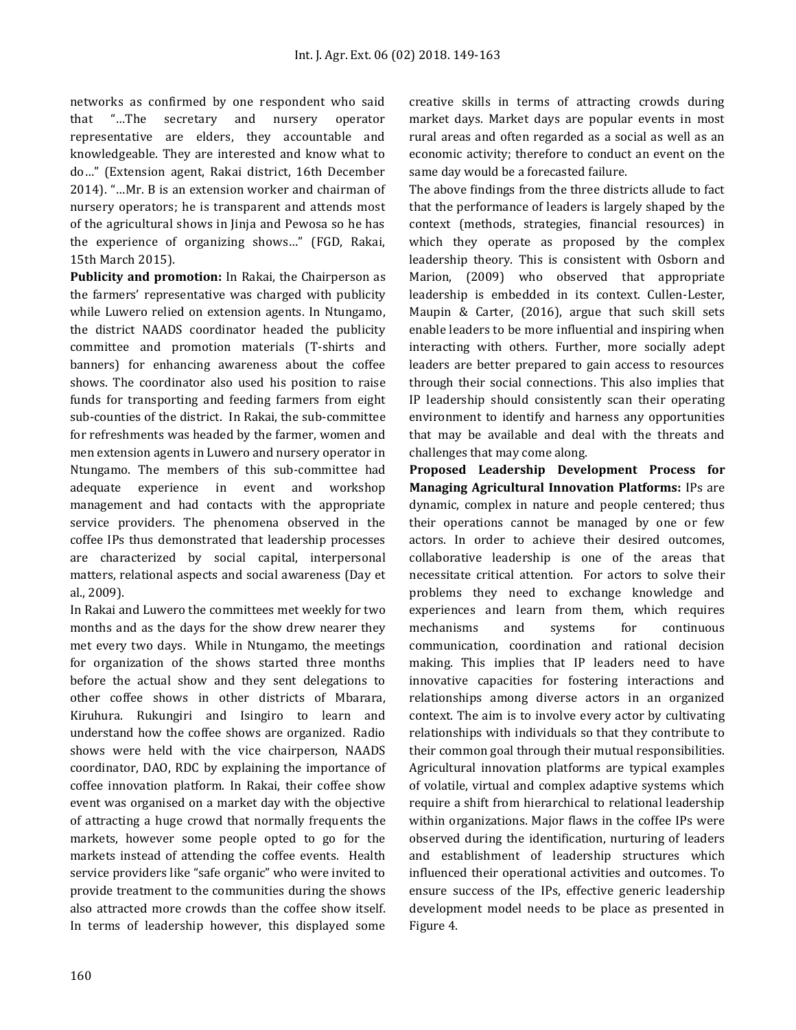networks as confirmed by one respondent who said that "…The secretary and nursery operator representative are elders, they accountable and knowledgeable. They are interested and know what to do…" (Extension agent, Rakai district, 16th December 2014). "…Mr. B is an extension worker and chairman of nursery operators; he is transparent and attends most of the agricultural shows in Jinja and Pewosa so he has the experience of organizing shows…" (FGD, Rakai, 15th March 2015).

**Publicity and promotion:** In Rakai, the Chairperson as the farmers' representative was charged with publicity while Luwero relied on extension agents. In Ntungamo, the district NAADS coordinator headed the publicity committee and promotion materials (T-shirts and banners) for enhancing awareness about the coffee shows. The coordinator also used his position to raise funds for transporting and feeding farmers from eight sub-counties of the district. In Rakai, the sub-committee for refreshments was headed by the farmer, women and men extension agents in Luwero and nursery operator in Ntungamo. The members of this sub-committee had adequate experience in event and workshop management and had contacts with the appropriate service providers. The phenomena observed in the coffee IPs thus demonstrated that leadership processes are characterized by social capital, interpersonal matters, relational aspects and social awareness (Day et al., 2009).

In Rakai and Luwero the committees met weekly for two months and as the days for the show drew nearer they met every two days. While in Ntungamo, the meetings for organization of the shows started three months before the actual show and they sent delegations to other coffee shows in other districts of Mbarara, Kiruhura. Rukungiri and Isingiro to learn and understand how the coffee shows are organized. Radio shows were held with the vice chairperson, NAADS coordinator, DAO, RDC by explaining the importance of coffee innovation platform. In Rakai, their coffee show event was organised on a market day with the objective of attracting a huge crowd that normally frequents the markets, however some people opted to go for the markets instead of attending the coffee events. Health service providers like "safe organic" who were invited to provide treatment to the communities during the shows also attracted more crowds than the coffee show itself. In terms of leadership however, this displayed some creative skills in terms of attracting crowds during market days. Market days are popular events in most rural areas and often regarded as a social as well as an economic activity; therefore to conduct an event on the same day would be a forecasted failure.

The above findings from the three districts allude to fact that the performance of leaders is largely shaped by the context (methods, strategies, financial resources) in which they operate as proposed by the complex leadership theory. This is consistent with Osborn and Marion, (2009) who observed that appropriate leadership is embedded in its context. Cullen-Lester, Maupin & Carter, (2016), argue that such skill sets enable leaders to be more influential and inspiring when interacting with others. Further, more socially adept leaders are better prepared to gain access to resources through their social connections. This also implies that IP leadership should consistently scan their operating environment to identify and harness any opportunities that may be available and deal with the threats and challenges that may come along.

**Proposed Leadership Development Process for Managing Agricultural Innovation Platforms:** IPs are dynamic, complex in nature and people centered; thus their operations cannot be managed by one or few actors. In order to achieve their desired outcomes, collaborative leadership is one of the areas that necessitate critical attention. For actors to solve their problems they need to exchange knowledge and experiences and learn from them, which requires mechanisms and systems for continuous communication, coordination and rational decision making. This implies that IP leaders need to have innovative capacities for fostering interactions and relationships among diverse actors in an organized context. The aim is to involve every actor by cultivating relationships with individuals so that they contribute to their common goal through their mutual responsibilities. Agricultural innovation platforms are typical examples of volatile, virtual and complex adaptive systems which require a shift from hierarchical to relational leadership within organizations. Major flaws in the coffee IPs were observed during the identification, nurturing of leaders and establishment of leadership structures which influenced their operational activities and outcomes. To ensure success of the IPs, effective generic leadership development model needs to be place as presented in Figure 4.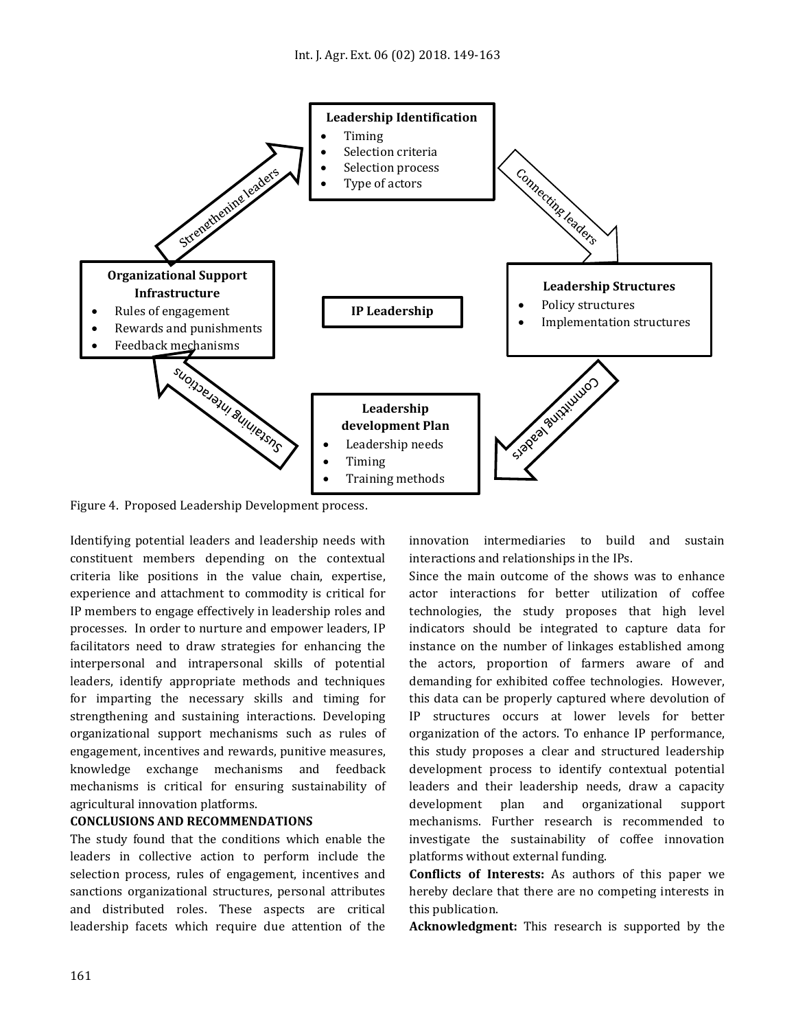

Figure 4. Proposed Leadership Development process.

Identifying potential leaders and leadership needs with constituent members depending on the contextual criteria like positions in the value chain, expertise, experience and attachment to commodity is critical for IP members to engage effectively in leadership roles and processes. In order to nurture and empower leaders, IP facilitators need to draw strategies for enhancing the interpersonal and intrapersonal skills of potential leaders, identify appropriate methods and techniques for imparting the necessary skills and timing for strengthening and sustaining interactions. Developing organizational support mechanisms such as rules of engagement, incentives and rewards, punitive measures, knowledge exchange mechanisms and feedback mechanisms is critical for ensuring sustainability of agricultural innovation platforms.

## **CONCLUSIONS AND RECOMMENDATIONS**

The study found that the conditions which enable the leaders in collective action to perform include the selection process, rules of engagement, incentives and sanctions organizational structures, personal attributes and distributed roles. These aspects are critical leadership facets which require due attention of the

innovation intermediaries to build and sustain interactions and relationships in the IPs.

Since the main outcome of the shows was to enhance actor interactions for better utilization of coffee technologies, the study proposes that high level indicators should be integrated to capture data for instance on the number of linkages established among the actors, proportion of farmers aware of and demanding for exhibited coffee technologies. However, this data can be properly captured where devolution of IP structures occurs at lower levels for better organization of the actors. To enhance IP performance, this study proposes a clear and structured leadership development process to identify contextual potential leaders and their leadership needs, draw a capacity development plan and organizational support mechanisms. Further research is recommended to investigate the sustainability of coffee innovation platforms without external funding.

**Conflicts of Interests:** As authors of this paper we hereby declare that there are no competing interests in this publication.

**Acknowledgment:** This research is supported by the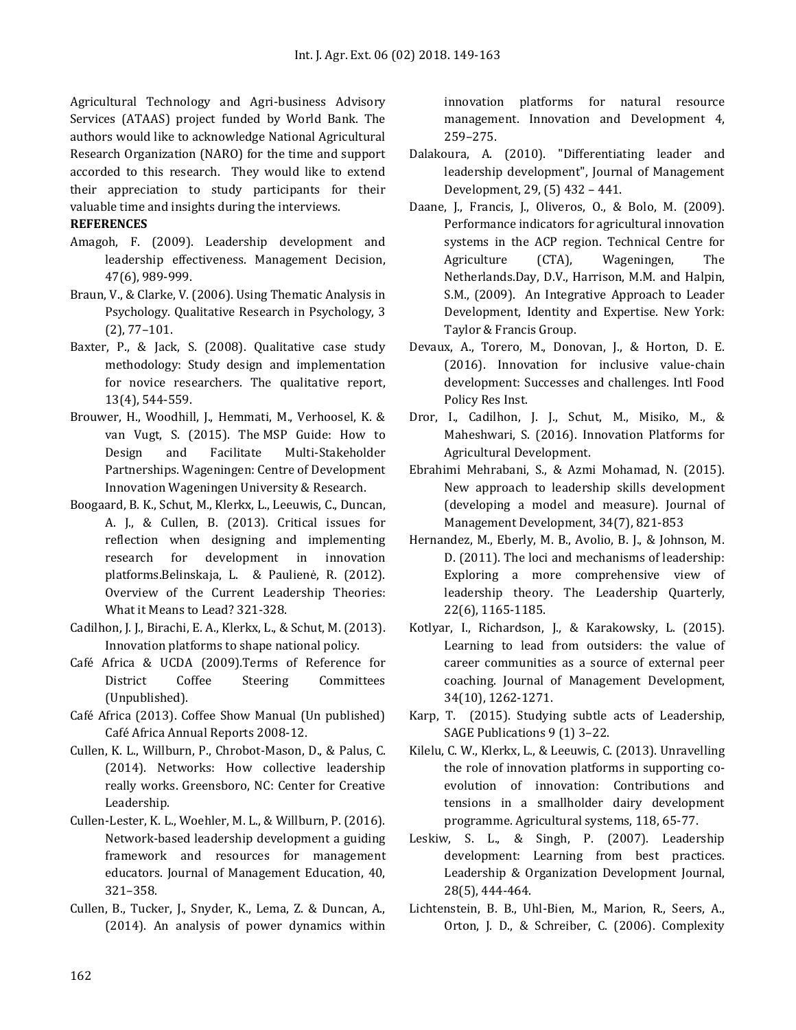Agricultural Technology and Agri-business Advisory Services (ATAAS) project funded by World Bank. The authors would like to acknowledge National Agricultural Research Organization (NARO) for the time and support accorded to this research. They would like to extend their appreciation to study participants for their valuable time and insights during the interviews.

## **REFERENCES**

- Amagoh, F. (2009). Leadership development and leadership effectiveness. Management Decision, 47(6), 989-999.
- Braun, V., & Clarke, V. (2006). Using Thematic Analysis in Psychology. Qualitative Research in Psychology, 3 (2), 77–101.
- Baxter, P., & Jack, S. (2008). Qualitative case study methodology: Study design and implementation for novice researchers. The qualitative report, 13(4), 544-559.
- [Brouwer, H., Woodhill, J., Hemmati, M., Verhoosel, K. &](http://www.mspguide.org/sites/default/files/case/msp_guide-digital-pages_brouwer.pdf)  [van Vugt, S. \(2015\). The](http://www.mspguide.org/sites/default/files/case/msp_guide-digital-pages_brouwer.pdf) MSP Guide: How to [Design and Facilitate Multi-Stakeholder](http://www.mspguide.org/sites/default/files/case/msp_guide-digital-pages_brouwer.pdf)  [Partnerships. Wageningen: Centre of Development](http://www.mspguide.org/sites/default/files/case/msp_guide-digital-pages_brouwer.pdf)  Innovation [Wageningen University & Research.](http://www.mspguide.org/sites/default/files/case/msp_guide-digital-pages_brouwer.pdf)
- Boogaard, B. K., Schut, M., Klerkx, L., Leeuwis, C., Duncan, A. J., & Cullen, B. (2013). Critical issues for reflection when designing and implementing research for development in innovation platforms.Belinskaja, L. & Paulienė, R. (2012). Overview of the Current Leadership Theories: What it Means to Lead? 321-328.
- Cadilhon, J. J., Birachi, E. A., Klerkx, L., & Schut, M. (2013). Innovation platforms to shape national policy.
- Café Africa & UCDA (2009).Terms of Reference for District Coffee Steering Committees (Unpublished).
- Café Africa (2013). Coffee Show Manual (Un published) Café Africa Annual Reports 2008-12.
- Cullen, K. L., Willburn, P., Chrobot-Mason, D., & Palus, C. (2014). Networks: How collective leadership really works. Greensboro, NC: Center for Creative Leadership.
- Cullen-Lester, K. L., Woehler, M. L., & Willburn, P. (2016). Network-based leadership development a guiding framework and resources for management educators. Journal of Management Education, 40, 321–358.
- Cullen, B., Tucker, J., Snyder, K., Lema, Z. & Duncan, A., (2014). An analysis of power dynamics within

innovation platforms for natural resource management. Innovation and Development 4, 259–275.

- Dalakoura, A. (2010). "Differentiating leader and leadership development", Journal of Management Development, 29, (5) 432 – 441.
- Daane, J., Francis, J., Oliveros, O., & Bolo, M. (2009). Performance indicators for agricultural innovation systems in the ACP region. Technical Centre for Agriculture (CTA), Wageningen, The Netherlands.Day, D.V., Harrison, M.M. and Halpin, S.M., (2009). An Integrative Approach to Leader Development, Identity and Expertise. New York: Taylor & Francis Group.
- Devaux, A., Torero, M., Donovan, J., & Horton, D. E. (2016). Innovation for inclusive value-chain development: Successes and challenges. Intl Food Policy Res Inst.
- Dror, I., Cadilhon, J. J., Schut, M., Misiko, M., & Maheshwari, S. (2016). Innovation Platforms for Agricultural Development.
- Ebrahimi Mehrabani, S., & Azmi Mohamad, N. (2015). New approach to leadership skills development (developing a model and measure). Journal of Management Development, 34(7), 821-853
- Hernandez, M., Eberly, M. B., Avolio, B. J., & Johnson, M. D. (2011). The loci and mechanisms of leadership: Exploring a more comprehensive view of leadership theory. The Leadership Quarterly, 22(6), 1165-1185.
- Kotlyar, I., Richardson, J., & Karakowsky, L. (2015). Learning to lead from outsiders: the value of career communities as a source of external peer coaching. Journal of Management Development, 34(10), 1262-1271.
- Karp, T. (2015). Studying subtle acts of Leadership, SAGE Publications 9 (1) 3–22.
- Kilelu, C. W., Klerkx, L., & Leeuwis, C. (2013). Unravelling the role of innovation platforms in supporting coevolution of innovation: Contributions and tensions in a smallholder dairy development programme. Agricultural systems, 118, 65-77.
- Leskiw, S. L., & Singh, P. (2007). Leadership development: Learning from best practices. Leadership & Organization Development Journal, 28(5), 444-464.
- Lichtenstein, B. B., Uhl-Bien, M., Marion, R., Seers, A., Orton, J. D., & Schreiber, C. (2006). Complexity